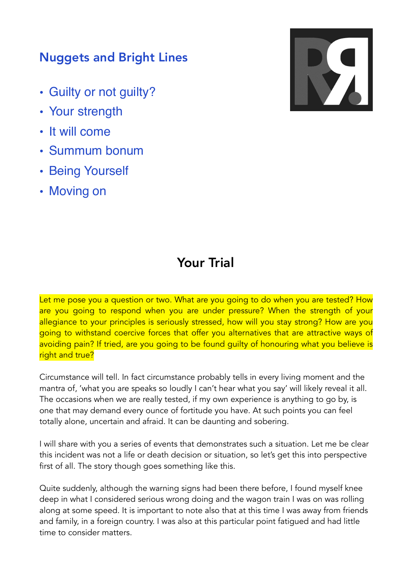## Nuggets and Bright Lines

- Guilty or not guilty?
- Your strength
- It will come
- Summum bonum
- Being Yourself
- Moving on



## Your Trial

Let me pose you a question or two. What are you going to do when you are tested? How are you going to respond when you are under pressure? When the strength of your allegiance to your principles is seriously stressed, how will you stay strong? How are you going to withstand coercive forces that offer you alternatives that are attractive ways of avoiding pain? If tried, are you going to be found guilty of honouring what you believe is right and true?

Circumstance will tell. In fact circumstance probably tells in every living moment and the mantra of, 'what you are speaks so loudly I can't hear what you say' will likely reveal it all. The occasions when we are really tested, if my own experience is anything to go by, is one that may demand every ounce of fortitude you have. At such points you can feel totally alone, uncertain and afraid. It can be daunting and sobering.

I will share with you a series of events that demonstrates such a situation. Let me be clear this incident was not a life or death decision or situation, so let's get this into perspective first of all. The story though goes something like this.

Quite suddenly, although the warning signs had been there before, I found myself knee deep in what I considered serious wrong doing and the wagon train I was on was rolling along at some speed. It is important to note also that at this time I was away from friends and family, in a foreign country. I was also at this particular point fatigued and had little time to consider matters.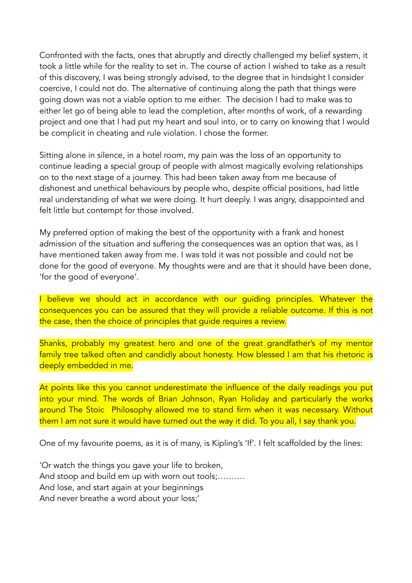Confronted with the facts, ones that abruptly and directly challenged my belief system, it took a little while for the reality to set in. The course of action I wished to take as a result of this discovery, I was being strongly advised, to the degree that in hindsight I consider coercive, I could not do. The alternative of continuing along the path that things were going down was not a viable option to me either. The decision I had to make was to either let go of being able to lead the completion, after months of work, of a rewarding project and one that I had put my heart and soul into, or to carry on knowing that I would be complicit in cheating and rule violation. I chose the former.

Sitting alone in silence, in a hotel room, my pain was the loss of an opportunity to continue leading a special group of people with almost magically evolving relationships on to the next stage of a journey. This had been taken away from me because of dishonest and unethical behaviours by people who, despite official positions, had little real understanding of what we were doing. It hurt deeply. I was angry, disappointed and felt little but contempt for those involved.

My preferred option of making the best of the opportunity with a frank and honest admission of the situation and suffering the consequences was an option that was, as I have mentioned taken away from me. I was told it was not possible and could not be done for the good of everyone. My thoughts were and are that it should have been done, 'for the good of everyone'.

I believe we should act in accordance with our quiding principles. Whatever the consequences you can be assured that they will provide a reliable outcome. If this is not the case, then the choice of principles that guide requires a review.

Shanks, probably my greatest hero and one of the great grandfather's of my mentor family tree talked often and candidly about honesty. How blessed I am that his rhetoric is deeply embedded in me.

At points like this you cannot underestimate the influence of the daily readings you put into your mind. The words of Brian Johnson, Ryan Holiday and particularly the works around The Stoic Philosophy allowed me to stand firm when it was necessary. Without them I am not sure it would have turned out the way it did. To you all, I say thank you.

One of my favourite poems, as it is of many, is Kipling's 'If'. I felt scaffolded by the lines:

'Or watch the things you gave your life to broken, And stoop and build em up with worn out tools;………. And lose, and start again at your beginnings And never breathe a word about your loss;'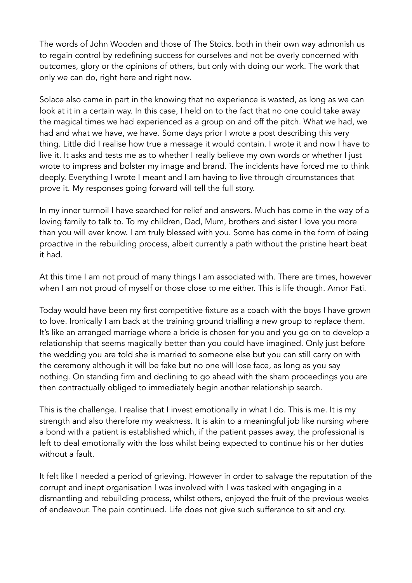The words of John Wooden and those of The Stoics. both in their own way admonish us to regain control by redefining success for ourselves and not be overly concerned with outcomes, glory or the opinions of others, but only with doing our work. The work that only we can do, right here and right now.

Solace also came in part in the knowing that no experience is wasted, as long as we can look at it in a certain way. In this case, I held on to the fact that no one could take away the magical times we had experienced as a group on and off the pitch. What we had, we had and what we have, we have. Some days prior I wrote a post describing this very thing. Little did I realise how true a message it would contain. I wrote it and now I have to live it. It asks and tests me as to whether I really believe my own words or whether I just wrote to impress and bolster my image and brand. The incidents have forced me to think deeply. Everything I wrote I meant and I am having to live through circumstances that prove it. My responses going forward will tell the full story.

In my inner turmoil I have searched for relief and answers. Much has come in the way of a loving family to talk to. To my children, Dad, Mum, brothers and sister I love you more than you will ever know. I am truly blessed with you. Some has come in the form of being proactive in the rebuilding process, albeit currently a path without the pristine heart beat it had.

At this time I am not proud of many things I am associated with. There are times, however when I am not proud of myself or those close to me either. This is life though. Amor Fati.

Today would have been my first competitive fixture as a coach with the boys I have grown to love. Ironically I am back at the training ground trialling a new group to replace them. It's like an arranged marriage where a bride is chosen for you and you go on to develop a relationship that seems magically better than you could have imagined. Only just before the wedding you are told she is married to someone else but you can still carry on with the ceremony although it will be fake but no one will lose face, as long as you say nothing. On standing firm and declining to go ahead with the sham proceedings you are then contractually obliged to immediately begin another relationship search.

This is the challenge. I realise that I invest emotionally in what I do. This is me. It is my strength and also therefore my weakness. It is akin to a meaningful job like nursing where a bond with a patient is established which, if the patient passes away, the professional is left to deal emotionally with the loss whilst being expected to continue his or her duties without a fault.

It felt like I needed a period of grieving. However in order to salvage the reputation of the corrupt and inept organisation I was involved with I was tasked with engaging in a dismantling and rebuilding process, whilst others, enjoyed the fruit of the previous weeks of endeavour. The pain continued. Life does not give such sufferance to sit and cry.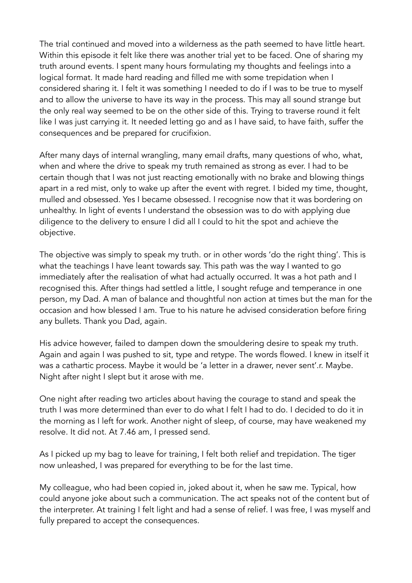The trial continued and moved into a wilderness as the path seemed to have little heart. Within this episode it felt like there was another trial yet to be faced. One of sharing my truth around events. I spent many hours formulating my thoughts and feelings into a logical format. It made hard reading and filled me with some trepidation when I considered sharing it. I felt it was something I needed to do if I was to be true to myself and to allow the universe to have its way in the process. This may all sound strange but the only real way seemed to be on the other side of this. Trying to traverse round it felt like I was just carrying it. It needed letting go and as I have said, to have faith, suffer the consequences and be prepared for crucifixion.

After many days of internal wrangling, many email drafts, many questions of who, what, when and where the drive to speak my truth remained as strong as ever. I had to be certain though that I was not just reacting emotionally with no brake and blowing things apart in a red mist, only to wake up after the event with regret. I bided my time, thought, mulled and obsessed. Yes I became obsessed. I recognise now that it was bordering on unhealthy. In light of events I understand the obsession was to do with applying due diligence to the delivery to ensure I did all I could to hit the spot and achieve the objective.

The objective was simply to speak my truth. or in other words 'do the right thing'. This is what the teachings I have leant towards say. This path was the way I wanted to go immediately after the realisation of what had actually occurred. It was a hot path and I recognised this. After things had settled a little, I sought refuge and temperance in one person, my Dad. A man of balance and thoughtful non action at times but the man for the occasion and how blessed I am. True to his nature he advised consideration before firing any bullets. Thank you Dad, again.

His advice however, failed to dampen down the smouldering desire to speak my truth. Again and again I was pushed to sit, type and retype. The words flowed. I knew in itself it was a cathartic process. Maybe it would be 'a letter in a drawer, never sent'.r. Maybe. Night after night I slept but it arose with me.

One night after reading two articles about having the courage to stand and speak the truth I was more determined than ever to do what I felt I had to do. I decided to do it in the morning as I left for work. Another night of sleep, of course, may have weakened my resolve. It did not. At 7.46 am, I pressed send.

As I picked up my bag to leave for training, I felt both relief and trepidation. The tiger now unleashed, I was prepared for everything to be for the last time.

My colleague, who had been copied in, joked about it, when he saw me. Typical, how could anyone joke about such a communication. The act speaks not of the content but of the interpreter. At training I felt light and had a sense of relief. I was free, I was myself and fully prepared to accept the consequences.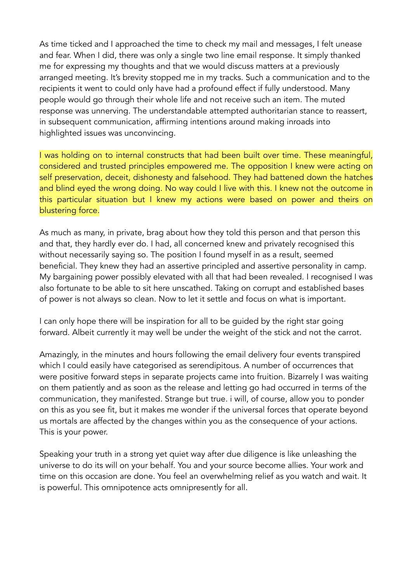As time ticked and I approached the time to check my mail and messages, I felt unease and fear. When I did, there was only a single two line email response. It simply thanked me for expressing my thoughts and that we would discuss matters at a previously arranged meeting. It's brevity stopped me in my tracks. Such a communication and to the recipients it went to could only have had a profound effect if fully understood. Many people would go through their whole life and not receive such an item. The muted response was unnerving. The understandable attempted authoritarian stance to reassert, in subsequent communication, affirming intentions around making inroads into highlighted issues was unconvincing.

I was holding on to internal constructs that had been built over time. These meaningful, considered and trusted principles empowered me. The opposition I knew were acting on self preservation, deceit, dishonesty and falsehood. They had battened down the hatches and blind eyed the wrong doing. No way could I live with this. I knew not the outcome in this particular situation but I knew my actions were based on power and theirs on blustering force.

As much as many, in private, brag about how they told this person and that person this and that, they hardly ever do. I had, all concerned knew and privately recognised this without necessarily saying so. The position I found myself in as a result, seemed beneficial. They knew they had an assertive principled and assertive personality in camp. My bargaining power possibly elevated with all that had been revealed. I recognised I was also fortunate to be able to sit here unscathed. Taking on corrupt and established bases of power is not always so clean. Now to let it settle and focus on what is important.

I can only hope there will be inspiration for all to be guided by the right star going forward. Albeit currently it may well be under the weight of the stick and not the carrot.

Amazingly, in the minutes and hours following the email delivery four events transpired which I could easily have categorised as serendipitous. A number of occurrences that were positive forward steps in separate projects came into fruition. Bizarrely I was waiting on them patiently and as soon as the release and letting go had occurred in terms of the communication, they manifested. Strange but true. i will, of course, allow you to ponder on this as you see fit, but it makes me wonder if the universal forces that operate beyond us mortals are affected by the changes within you as the consequence of your actions. This is your power.

Speaking your truth in a strong yet quiet way after due diligence is like unleashing the universe to do its will on your behalf. You and your source become allies. Your work and time on this occasion are done. You feel an overwhelming relief as you watch and wait. It is powerful. This omnipotence acts omnipresently for all.